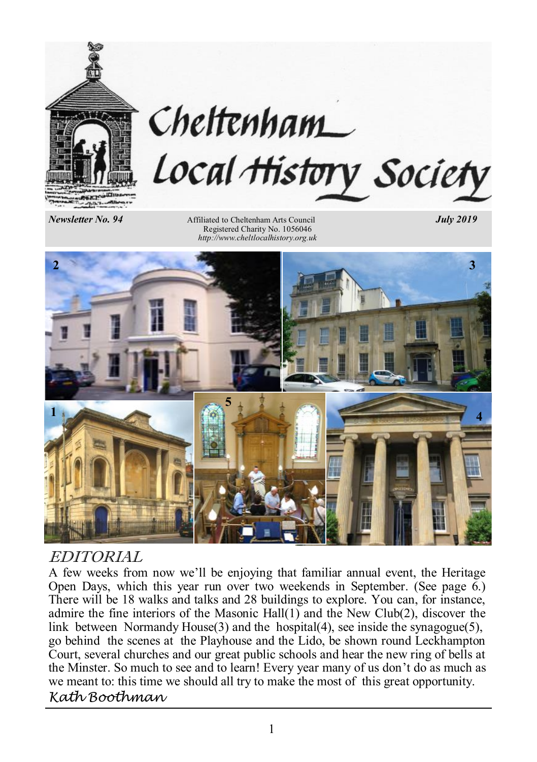

# Cheltenham Local History Society

Newsletter No. 94

Affiliated to Cheltenham Arts Council *July 2019*  Registered Charity No. 1056046 *http://www.cheltlocalhistory.org.uk*



## EDITORIAL

A few weeks from now we'll be enjoying that familiar annual event, the Heritage Open Days, which this year run over two weekends in September. (See page  $\overline{6}$ .) There will be 18 walks and talks and 28 buildings to explore. You can, for instance, admire the fine interiors of the Masonic Hall(1) and the New Club(2), discover the link between Normandy House(3) and the hospital(4), see inside the synagogue(5), go behind the scenes at the Playhouse and the Lido, be shown round Leckhampton Court, several churches and our great public schools and hear the new ring of bells at the Minster. So much to see and to learn! Every year many of us don't do as much as we meant to: this time we should all try to make the most of this great opportunity. *Kath Boothman*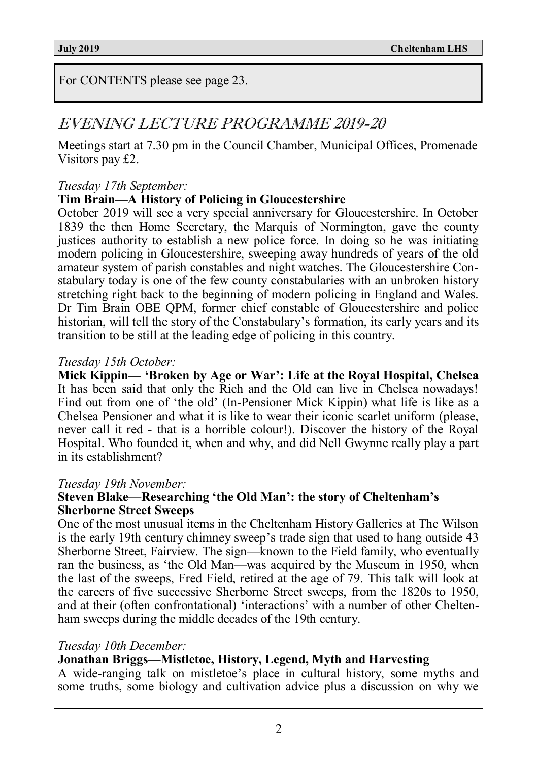For CONTENTS please see page 23.

# EVENING LECTURE PROGRAMME 2019-20

Meetings start at 7.30 pm in the Council Chamber, Municipal Offices, Promenade Visitors pay £2.

#### *Tuesday 17th September:*

#### **Tim Brain—A History of Policing in Gloucestershire**

October 2019 will see a very special anniversary for Gloucestershire. In October 1839 the then Home Secretary, the Marquis of Normington, gave the county justices authority to establish a new police force. In doing so he was initiating modern policing in Gloucestershire, sweeping away hundreds of years of the old amateur system of parish constables and night watches. The Gloucestershire Constabulary today is one of the few county constabularies with an unbroken history stretching right back to the beginning of modern policing in England and Wales. Dr Tim Brain OBE QPM, former chief constable of Gloucestershire and police historian, will tell the story of the Constabulary's formation, its early years and its transition to be still at the leading edge of policing in this country.

#### *Tuesday 15th October:*

**Mick Kippin— 'Broken by Age or War': Life at the Royal Hospital, Chelsea**  It has been said that only the Rich and the Old can live in Chelsea nowadays! Find out from one of 'the old' (In-Pensioner Mick Kippin) what life is like as a Chelsea Pensioner and what it is like to wear their iconic scarlet uniform (please, never call it red - that is a horrible colour!). Discover the history of the Royal Hospital. Who founded it, when and why, and did Nell Gwynne really play a part in its establishment?

#### *Tuesday 19th November:*

#### **Steven Blake—Researching 'the Old Man': the story of Cheltenham's Sherborne Street Sweeps**

One of the most unusual items in the Cheltenham History Galleries at The Wilson is the early 19th century chimney sweep's trade sign that used to hang outside 43 Sherborne Street, Fairview. The sign—known to the Field family, who eventually ran the business, as 'the Old Man—was acquired by the Museum in 1950, when the last of the sweeps, Fred Field, retired at the age of 79. This talk will look at the careers of five successive Sherborne Street sweeps, from the 1820s to 1950, and at their (often confrontational) 'interactions' with a number of other Cheltenham sweeps during the middle decades of the 19th century.

#### *Tuesday 10th December:*

#### **Jonathan Briggs—Mistletoe, History, Legend, Myth and Harvesting**

A wide-ranging talk on mistletoe's place in cultural history, some myths and some truths, some biology and cultivation advice plus a discussion on why we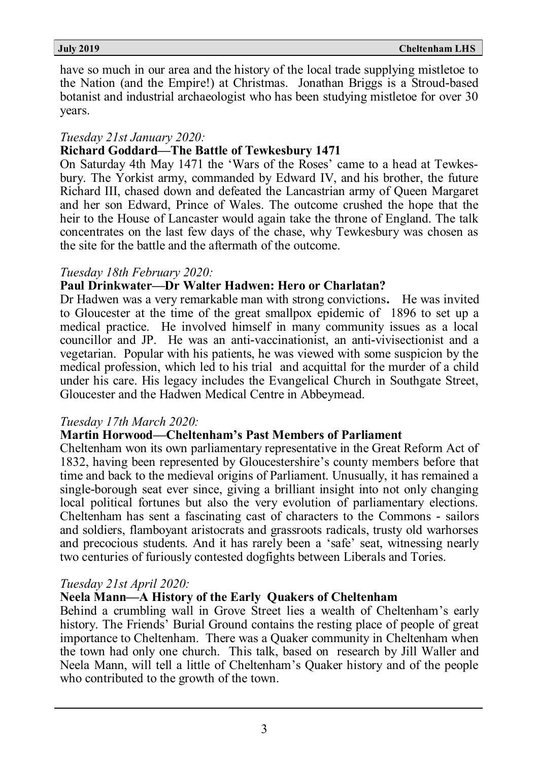have so much in our area and the history of the local trade supplying mistletoe to the Nation (and the Empire!) at Christmas. Jonathan Briggs is a Stroud-based botanist and industrial archaeologist who has been studying mistletoe for over 30 years.

#### *Tuesday 21st January 2020:*

#### **Richard Goddard—The Battle of Tewkesbury 1471**

On Saturday 4th May 1471 the 'Wars of the Roses' came to a head at Tewkesbury. The Yorkist army, commanded by Edward IV, and his brother, the future Richard III, chased down and defeated the Lancastrian army of Queen Margaret and her son Edward, Prince of Wales. The outcome crushed the hope that the heir to the House of Lancaster would again take the throne of England. The talk concentrates on the last few days of the chase, why Tewkesbury was chosen as the site for the battle and the aftermath of the outcome.

#### *Tuesday 18th February 2020:*

#### **Paul Drinkwater—Dr Walter Hadwen: Hero or Charlatan?**

Dr Hadwen was a very remarkable man with strong convictions**.** He was invited to Gloucester at the time of the great smallpox epidemic of 1896 to set up a medical practice. He involved himself in many community issues as a local councillor and JP. He was an anti-vaccinationist, an anti-vivisectionist and a vegetarian. Popular with his patients, he was viewed with some suspicion by the medical profession, which led to his trial and acquittal for the murder of a child under his care. His legacy includes the Evangelical Church in Southgate Street, Gloucester and the Hadwen Medical Centre in Abbeymead.

#### *Tuesday 17th March 2020:*

#### **Martin Horwood—Cheltenham's Past Members of Parliament**

Cheltenham won its own parliamentary representative in the Great Reform Act of 1832, having been represented by Gloucestershire's county members before that time and back to the medieval origins of Parliament. Unusually, it has remained a single-borough seat ever since, giving a brilliant insight into not only changing local political fortunes but also the very evolution of parliamentary elections. Cheltenham has sent a fascinating cast of characters to the Commons - sailors and soldiers, flamboyant aristocrats and grassroots radicals, trusty old warhorses and precocious students. And it has rarely been a 'safe' seat, witnessing nearly two centuries of furiously contested dogfights between Liberals and Tories.

#### *Tuesday 21st April 2020:*

#### **Neela Mann—A History of the Early Quakers of Cheltenham**

Behind a crumbling wall in Grove Street lies a wealth of Cheltenham's early history. The Friends' Burial Ground contains the resting place of people of great importance to Cheltenham. There was a Quaker community in Cheltenham when the town had only one church. This talk, based on research by Jill Waller and Neela Mann, will tell a little of Cheltenham's Quaker history and of the people who contributed to the growth of the town.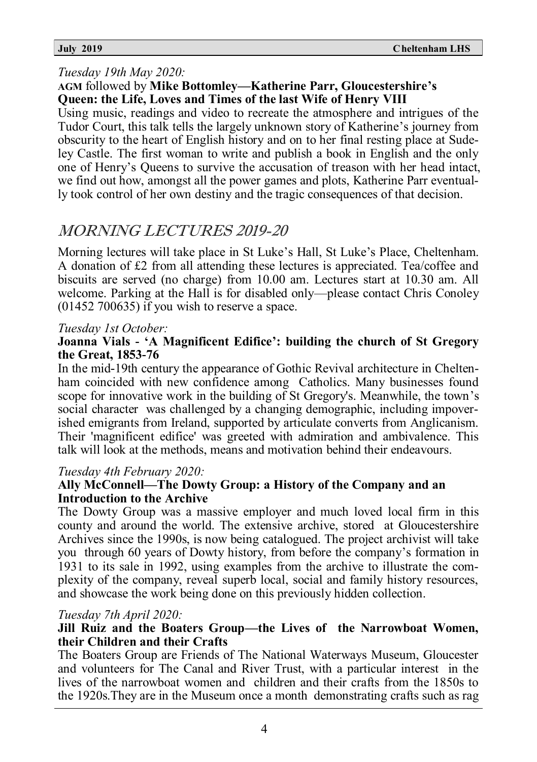#### *Tuesday 19th May 2020:*

#### **AGM** followed by **Mike Bottomley—Katherine Parr, Gloucestershire's Queen: the Life, Loves and Times of the last Wife of Henry VIII**

Using music, readings and video to recreate the atmosphere and intrigues of the Tudor Court, this talk tells the largely unknown story of Katherine's journey from obscurity to the heart of English history and on to her final resting place at Sudeley Castle. The first woman to write and publish a book in English and the only one of Henry's Queens to survive the accusation of treason with her head intact, we find out how, amongst all the power games and plots, Katherine Parr eventually took control of her own destiny and the tragic consequences of that decision.

# MORNING LECTURES 2019-20

Morning lectures will take place in St Luke's Hall, St Luke's Place, Cheltenham. A donation of £2 from all attending these lectures is appreciated. Tea/coffee and biscuits are served (no charge) from 10.00 am. Lectures start at 10.30 am. All welcome. Parking at the Hall is for disabled only—please contact Chris Conoley (01452 700635) if you wish to reserve a space.

#### *Tuesday 1st October:*

#### **Joanna Vials - 'A Magnificent Edifice': building the church of St Gregory the Great, 1853-76**

In the mid-19th century the appearance of Gothic Revival architecture in Cheltenham coincided with new confidence among Catholics. Many businesses found scope for innovative work in the building of St Gregory's. Meanwhile, the town's social character was challenged by a changing demographic, including impoverished emigrants from Ireland, supported by articulate converts from Anglicanism. Their 'magnificent edifice' was greeted with admiration and ambivalence. This talk will look at the methods, means and motivation behind their endeavours.

#### *Tuesday 4th February 2020:*

#### **Ally McConnell—The Dowty Group: a History of the Company and an Introduction to the Archive**

The Dowty Group was a massive employer and much loved local firm in this county and around the world. The extensive archive, stored at Gloucestershire Archives since the 1990s, is now being catalogued. The project archivist will take you through 60 years of Dowty history, from before the company's formation in 1931 to its sale in 1992, using examples from the archive to illustrate the complexity of the company, reveal superb local, social and family history resources, and showcase the work being done on this previously hidden collection.

#### *Tuesday 7th April 2020:*

#### **Jill Ruiz and the Boaters Group—the Lives of the Narrowboat Women, their Children and their Crafts**

The Boaters Group are Friends of The National Waterways Museum, Gloucester and volunteers for The Canal and River Trust, with a particular interest in the lives of the narrowboat women and children and their crafts from the 1850s to the 1920s.They are in the Museum once a month demonstrating crafts such as rag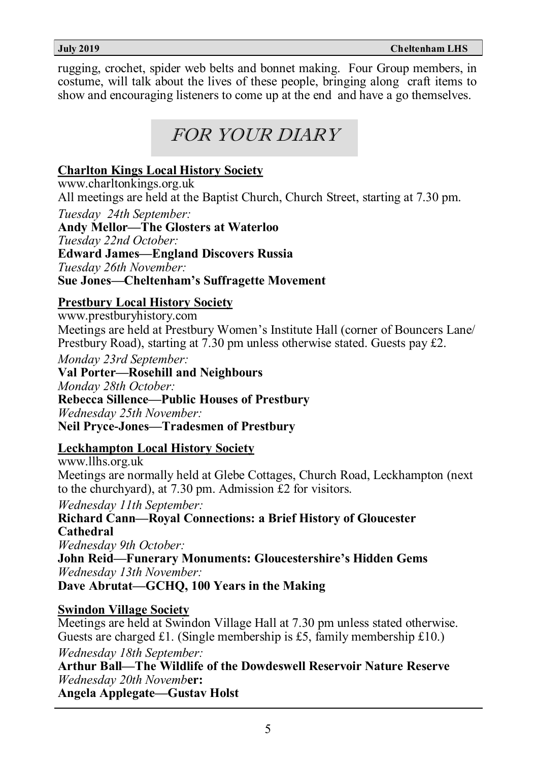rugging, crochet, spider web belts and bonnet making. Four Group members, in costume, will talk about the lives of these people, bringing along craft items to show and encouraging listeners to come up at the end and have a go themselves.

# FOR YOUR DIARY

### **Charlton Kings Local History Society**

www.charltonkings.org.uk All meetings are held at the Baptist Church, Church Street, starting at 7.30 pm. *Tuesday 24th September:* **Andy Mellor—The Glosters at Waterloo** *Tuesday 22nd October:* **Edward James—England Discovers Russia**

*Tuesday 26th November:*

#### **Sue Jones—Cheltenham's Suffragette Movement**

#### **Prestbury Local History Society**

www.prestburyhistory.com Meetings are held at Prestbury Women's Institute Hall (corner of Bouncers Lane/ Prestbury Road), starting at 7.30 pm unless otherwise stated. Guests pay £2.

*Monday 23rd September:*

**Val Porter—Rosehill and Neighbours** *Monday 28th October:* **Rebecca Sillence—Public Houses of Prestbury** *Wednesday 25th November:* **Neil Pryce-Jones—Tradesmen of Prestbury**

#### **Leckhampton Local History Society**

www.llhs.org.uk Meetings are normally held at Glebe Cottages, Church Road, Leckhampton (next to the churchyard), at 7.30 pm. Admission £2 for visitors.

*Wednesday 11th September:* **Richard Cann—Royal Connections: a Brief History of Gloucester Cathedral** *Wednesday 9th October:* **John Reid—Funerary Monuments: Gloucestershire's Hidden Gems** *Wednesday 13th November:*

**Dave Abrutat—GCHQ, 100 Years in the Making**

#### **Swindon Village Society**

Meetings are held at Swindon Village Hall at 7.30 pm unless stated otherwise. Guests are charged £1. (Single membership is £5, family membership £10.) *Wednesday 18th September:*

**Arthur Ball—The Wildlife of the Dowdeswell Reservoir Nature Reserve** *Wednesday 20th Novemb***er:**

**Angela Applegate—Gustav Holst**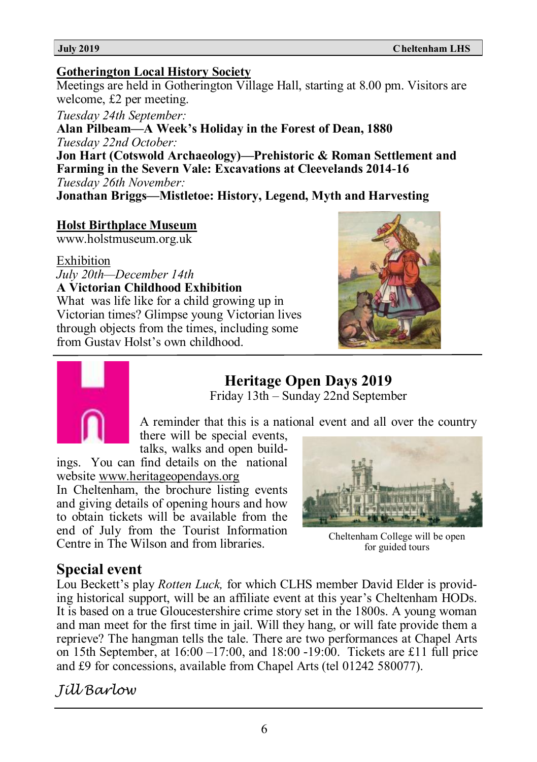#### **Gotherington Local History Society**

Meetings are held in Gotherington Village Hall, starting at 8.00 pm. Visitors are welcome, £2 per meeting.

*Tuesday 24th September:*

**Alan Pilbeam—A Week's Holiday in the Forest of Dean, 1880** *Tuesday 22nd October:*

**Jon Hart (Cotswold Archaeology)—Prehistoric & Roman Settlement and Farming in the Severn Vale: Excavations at Cleevelands 2014-16**  *Tuesday 26th November:*

**Jonathan Briggs—Mistletoe: History, Legend, Myth and Harvesting**

#### **Holst Birthplace Museum**

www.holstmuseum.org.uk

#### Exhibition

*July 20th—December 14th* **A Victorian Childhood Exhibition**

What was life like for a child growing up in Victorian times? Glimpse young Victorian lives through objects from the times, including some from Gustav Holst's own childhood.

# **Heritage Open Days 2019**

Friday 13th – Sunday 22nd September

A reminder that this is a national event and all over the country there will be special events,

talks, walks and open build-

ings. You can find details on the national website [www.heritageopendays.org](http://www.heritageopendays.org)

In Cheltenham, the brochure listing events and giving details of opening hours and how to obtain tickets will be available from the end of July from the Tourist Information Centre in The Wilson and from libraries.

#### Cheltenham College will be open for guided tours

### **Special event**

Lou Beckett's play *Rotten Luck,* for which CLHS member David Elder is providing historical support, will be an affiliate event at this year's Cheltenham HODs. It is based on a true Gloucestershire crime story set in the 1800s. A young woman and man meet for the first time in jail. Will they hang, or will fate provide them a reprieve? The hangman tells the tale. There are two performances at Chapel Arts on 15th September, at 16:00 –17:00, and 18:00 -19:00. Tickets are £11 full price and £9 for concessions, available from Chapel Arts (tel 01242 580077).

*Jill Barlow*



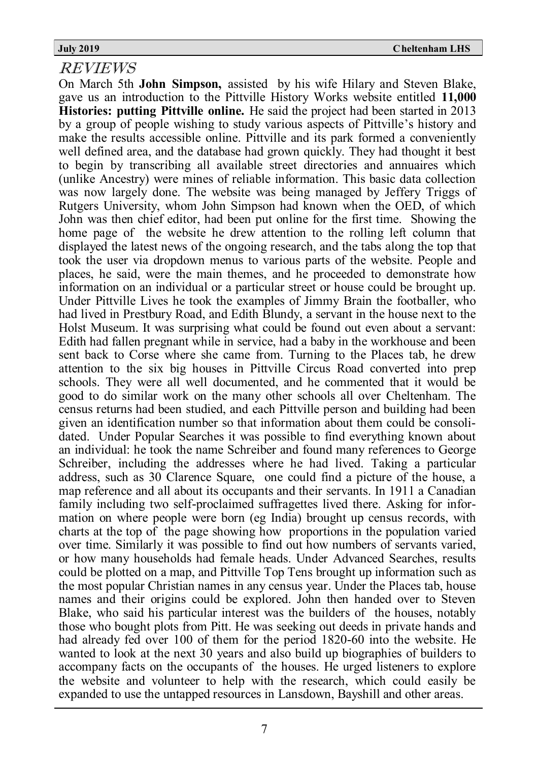### REVIEWS

On March 5th **John Simpson,** assisted by his wife Hilary and Steven Blake, gave us an introduction to the Pittville History Works website entitled **11,000 Histories: putting Pittville online.** He said the project had been started in 2013 by a group of people wishing to study various aspects of Pittville's history and make the results accessible online. Pittville and its park formed a conveniently well defined area, and the database had grown quickly. They had thought it best to begin by transcribing all available street directories and annuaires which (unlike Ancestry) were mines of reliable information. This basic data collection was now largely done. The website was being managed by Jeffery Triggs of Rutgers University, whom John Simpson had known when the OED, of which John was then chief editor, had been put online for the first time. Showing the home page of the website he drew attention to the rolling left column that displayed the latest news of the ongoing research, and the tabs along the top that took the user via dropdown menus to various parts of the website. People and places, he said, were the main themes, and he proceeded to demonstrate how information on an individual or a particular street or house could be brought up. Under Pittville Lives he took the examples of Jimmy Brain the footballer, who had lived in Prestbury Road, and Edith Blundy, a servant in the house next to the Holst Museum. It was surprising what could be found out even about a servant: Edith had fallen pregnant while in service, had a baby in the workhouse and been sent back to Corse where she came from. Turning to the Places tab, he drew attention to the six big houses in Pittville Circus Road converted into prep schools. They were all well documented, and he commented that it would be good to do similar work on the many other schools all over Cheltenham. The census returns had been studied, and each Pittville person and building had been given an identification number so that information about them could be consolidated. Under Popular Searches it was possible to find everything known about an individual: he took the name Schreiber and found many references to George Schreiber, including the addresses where he had lived. Taking a particular address, such as 30 Clarence Square, one could find a picture of the house, a map reference and all about its occupants and their servants. In 1911 a Canadian family including two self-proclaimed suffragettes lived there. Asking for information on where people were born (eg India) brought up census records, with charts at the top of the page showing how proportions in the population varied over time. Similarly it was possible to find out how numbers of servants varied, or how many households had female heads. Under Advanced Searches, results could be plotted on a map, and Pittville Top Tens brought up information such as the most popular Christian names in any census year. Under the Places tab, house names and their origins could be explored. John then handed over to Steven Blake, who said his particular interest was the builders of the houses, notably those who bought plots from Pitt. He was seeking out deeds in private hands and had already fed over 100 of them for the period 1820-60 into the website. He wanted to look at the next 30 years and also build up biographies of builders to accompany facts on the occupants of the houses. He urged listeners to explore the website and volunteer to help with the research, which could easily be expanded to use the untapped resources in Lansdown, Bayshill and other areas.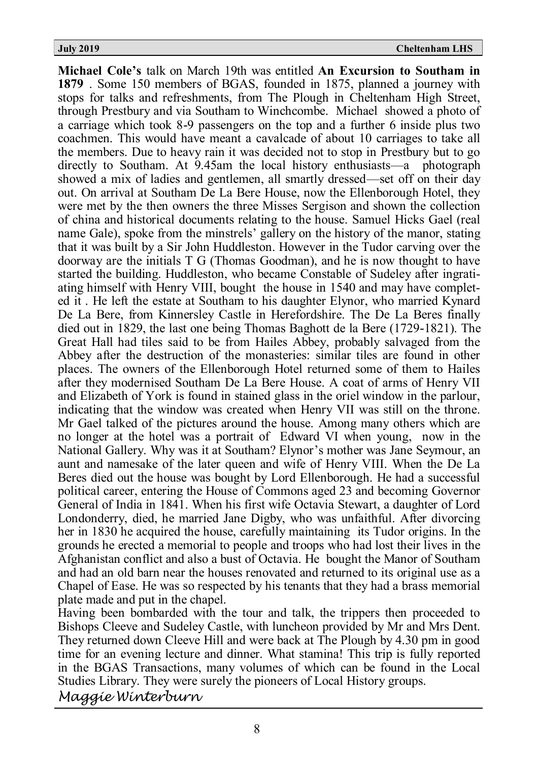**Michael Cole's** talk on March 19th was entitled **An Excursion to Southam in 1879** . Some 150 members of BGAS, founded in 1875, planned a journey with stops for talks and refreshments, from The Plough in Cheltenham High Street, through Prestbury and via Southam to Winchcombe. Michael showed a photo of a carriage which took 8-9 passengers on the top and a further 6 inside plus two coachmen. This would have meant a cavalcade of about 10 carriages to take all the members. Due to heavy rain it was decided not to stop in Prestbury but to go directly to Southam. At 9.45am the local history enthusiasts—a photograph showed a mix of ladies and gentlemen, all smartly dressed—set off on their day out. On arrival at Southam De La Bere House, now the Ellenborough Hotel, they were met by the then owners the three Misses Sergison and shown the collection of china and historical documents relating to the house. Samuel Hicks Gael (real name Gale), spoke from the minstrels' gallery on the history of the manor, stating that it was built by a Sir John Huddleston. However in the Tudor carving over the doorway are the initials T G (Thomas Goodman), and he is now thought to have started the building. Huddleston, who became Constable of Sudeley after ingratiating himself with Henry VIII, bought the house in 1540 and may have completed it . He left the estate at Southam to his daughter Elynor, who married Kynard De La Bere, from Kinnersley Castle in Herefordshire. The De La Beres finally died out in 1829, the last one being Thomas Baghott de la Bere (1729-1821). The Great Hall had tiles said to be from Hailes Abbey, probably salvaged from the Abbey after the destruction of the monasteries: similar tiles are found in other places. The owners of the Ellenborough Hotel returned some of them to Hailes after they modernised Southam De La Bere House. A coat of arms of Henry VII and Elizabeth of York is found in stained glass in the oriel window in the parlour, indicating that the window was created when Henry VII was still on the throne. Mr Gael talked of the pictures around the house. Among many others which are no longer at the hotel was a portrait of Edward VI when young, now in the National Gallery. Why was it at Southam? Elynor's mother was Jane Seymour, an aunt and namesake of the later queen and wife of Henry VIII. When the De La Beres died out the house was bought by Lord Ellenborough. He had a successful political career, entering the House of Commons aged 23 and becoming Governor General of India in 1841. When his first wife Octavia Stewart, a daughter of Lord Londonderry, died, he married Jane Digby, who was unfaithful. After divorcing her in 1830 he acquired the house, carefully maintaining its Tudor origins. In the grounds he erected a memorial to people and troops who had lost their lives in the Afghanistan conflict and also a bust of Octavia. He bought the Manor of Southam and had an old barn near the houses renovated and returned to its original use as a Chapel of Ease. He was so respected by his tenants that they had a brass memorial plate made and put in the chapel.

Having been bombarded with the tour and talk, the trippers then proceeded to Bishops Cleeve and Sudeley Castle, with luncheon provided by Mr and Mrs Dent. They returned down Cleeve Hill and were back at The Plough by 4.30 pm in good time for an evening lecture and dinner. What stamina! This trip is fully reported in the BGAS Transactions, many volumes of which can be found in the Local Studies Library. They were surely the pioneers of Local History groups.

*Maggie Winterburn*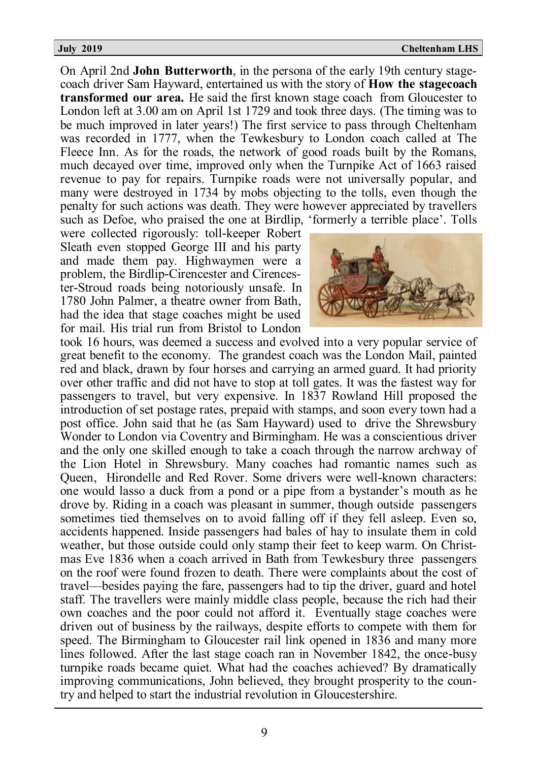#### **July 2019 Cheltenham LHS**

On April 2nd **John Butterworth**, in the persona of the early 19th century stagecoach driver Sam Hayward, entertained us with the story of **How the stagecoach transformed our area.** He said the first known stage coach from Gloucester to London left at 3.00 am on April 1st 1729 and took three days. (The timing was to be much improved in later years!) The first service to pass through Cheltenham was recorded in 1777, when the Tewkesbury to London coach called at The Fleece Inn. As for the roads, the network of good roads built by the Romans, much decayed over time, improved only when the Turnpike Act of 1663 raised revenue to pay for repairs. Turnpike roads were not universally popular, and many were destroyed in 1734 by mobs objecting to the tolls, even though the penalty for such actions was death. They were however appreciated by travellers such as Defoe, who praised the one at Birdlip, 'formerly a terrible place'. Tolls

were collected rigorously: toll-keeper Robert Sleath even stopped George III and his party and made them pay. Highwaymen were a problem, the Birdlip-Cirencester and Cirencester-Stroud roads being notoriously unsafe. In 1780 John Palmer, a theatre owner from Bath, had the idea that stage coaches might be used for mail. His trial run from Bristol to London



took 16 hours, was deemed a success and evolved into a very popular service of great benefit to the economy. The grandest coach was the London Mail, painted red and black, drawn by four horses and carrying an armed guard. It had priority over other traffic and did not have to stop at toll gates. It was the fastest way for passengers to travel, but very expensive. In 1837 Rowland Hill proposed the introduction of set postage rates, prepaid with stamps, and soon every town had a post office. John said that he (as Sam Hayward) used to drive the Shrewsbury Wonder to London via Coventry and Birmingham. He was a conscientious driver and the only one skilled enough to take a coach through the narrow archway of the Lion Hotel in Shrewsbury. Many coaches had romantic names such as Queen, Hirondelle and Red Rover. Some drivers were well-known characters: one would lasso a duck from a pond or a pipe from a bystander's mouth as he drove by. Riding in a coach was pleasant in summer, though outside passengers sometimes tied themselves on to avoid falling off if they fell asleep. Even so, accidents happened. Inside passengers had bales of hay to insulate them in cold weather, but those outside could only stamp their feet to keep warm. On Christmas Eve 1836 when a coach arrived in Bath from Tewkesbury three passengers on the roof were found frozen to death. There were complaints about the cost of travel—besides paying the fare, passengers had to tip the driver, guard and hotel staff. The travellers were mainly middle class people, because the rich had their own coaches and the poor could not afford it. Eventually stage coaches were driven out of business by the railways, despite efforts to compete with them for speed. The Birmingham to Gloucester rail link opened in 1836 and many more lines followed. After the last stage coach ran in November 1842, the once-busy turnpike roads became quiet. What had the coaches achieved? By dramatically improving communications, John believed, they brought prosperity to the country and helped to start the industrial revolution in Gloucestershire.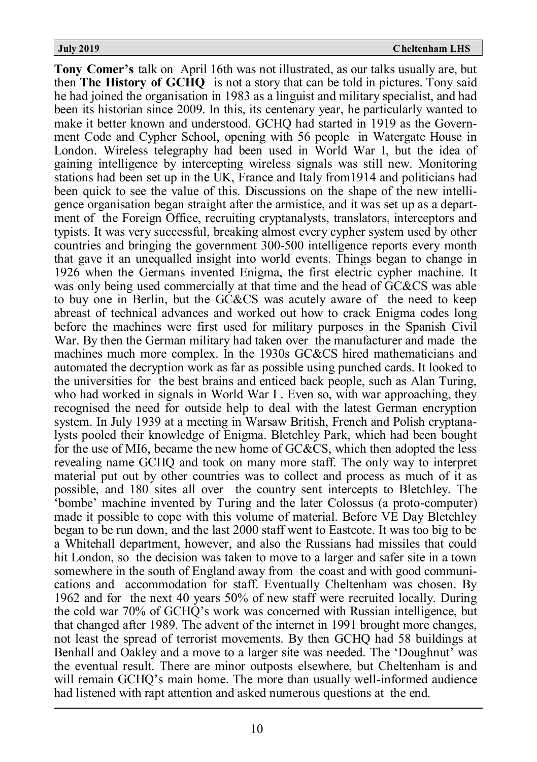**Tony Comer's** talk on April 16th was not illustrated, as our talks usually are, but then **The History of GCHQ** is not a story that can be told in pictures. Tony said he had joined the organisation in 1983 as a linguist and military specialist, and had been its historian since 2009. In this, its centenary year, he particularly wanted to make it better known and understood. GCHQ had started in 1919 as the Government Code and Cypher School, opening with 56 people in Watergate House in London. Wireless telegraphy had been used in World War I, but the idea of gaining intelligence by intercepting wireless signals was still new. Monitoring stations had been set up in the UK, France and Italy from1914 and politicians had been quick to see the value of this. Discussions on the shape of the new intelligence organisation began straight after the armistice, and it was set up as a department of the Foreign Office, recruiting cryptanalysts, translators, interceptors and typists. It was very successful, breaking almost every cypher system used by other countries and bringing the government 300-500 intelligence reports every month that gave it an unequalled insight into world events. Things began to change in 1926 when the Germans invented Enigma, the first electric cypher machine. It was only being used commercially at that time and the head of GC&CS was able to buy one in Berlin, but the GC&CS was acutely aware of the need to keep abreast of technical advances and worked out how to crack Enigma codes long before the machines were first used for military purposes in the Spanish Civil War. By then the German military had taken over the manufacturer and made the machines much more complex. In the 1930s GC&CS hired mathematicians and automated the decryption work as far as possible using punched cards. It looked to the universities for the best brains and enticed back people, such as Alan Turing, who had worked in signals in World War I . Even so, with war approaching, they recognised the need for outside help to deal with the latest German encryption system. In July 1939 at a meeting in Warsaw British, French and Polish cryptanalysts pooled their knowledge of Enigma. Bletchley Park, which had been bought for the use of MI6, became the new home of GC&CS, which then adopted the less revealing name GCHQ and took on many more staff. The only way to interpret material put out by other countries was to collect and process as much of it as possible, and 180 sites all over the country sent intercepts to Bletchley. The 'bombe' machine invented by Turing and the later Colossus (a proto-computer) made it possible to cope with this volume of material. Before VE Day Bletchley began to be run down, and the last 2000 staff went to Eastcote. It was too big to be a Whitehall department, however, and also the Russians had missiles that could hit London, so the decision was taken to move to a larger and safer site in a town somewhere in the south of England away from the coast and with good communications and accommodation for staff. Eventually Cheltenham was chosen. By 1962 and for the next 40 years 50% of new staff were recruited locally. During the cold war 70% of GCHQ's work was concerned with Russian intelligence, but that changed after 1989. The advent of the internet in 1991 brought more changes, not least the spread of terrorist movements. By then GCHQ had 58 buildings at Benhall and Oakley and a move to a larger site was needed. The 'Doughnut' was the eventual result. There are minor outposts elsewhere, but Cheltenham is and will remain GCHQ's main home. The more than usually well-informed audience had listened with rapt attention and asked numerous questions at the end.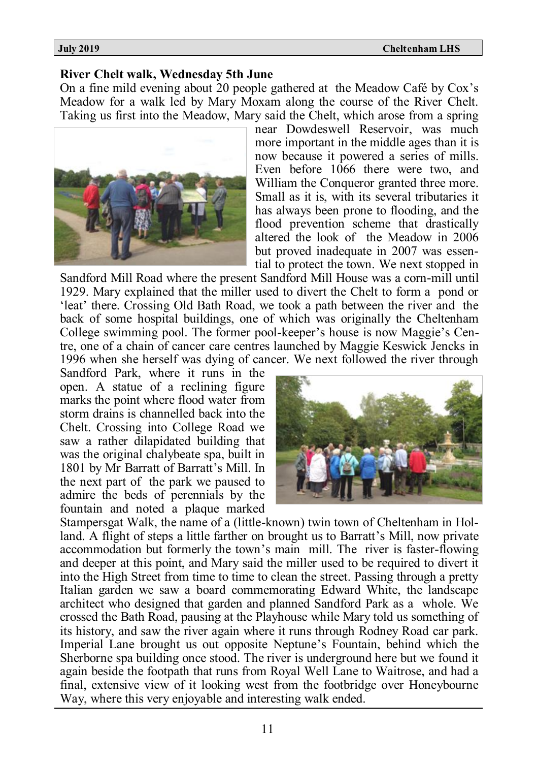**July 2019 Cheltenham LHS**

### **River Chelt walk, Wednesday 5th June**

On a fine mild evening about 20 people gathered at the Meadow Café by Cox's Meadow for a walk led by Mary Moxam along the course of the River Chelt. Taking us first into the Meadow, Mary said the Chelt, which arose from a spring



near Dowdeswell Reservoir, was much more important in the middle ages than it is now because it powered a series of mills. Even before 1066 there were two, and William the Conqueror granted three more. Small as it is, with its several tributaries it has always been prone to flooding, and the flood prevention scheme that drastically altered the look of the Meadow in 2006 but proved inadequate in 2007 was essential to protect the town. We next stopped in

Sandford Mill Road where the present Sandford Mill House was a corn-mill until 1929. Mary explained that the miller used to divert the Chelt to form a pond or 'leat' there. Crossing Old Bath Road, we took a path between the river and the back of some hospital buildings, one of which was originally the Cheltenham College swimming pool. The former pool-keeper's house is now Maggie's Centre, one of a chain of cancer care centres launched by Maggie Keswick Jencks in 1996 when she herself was dying of cancer. We next followed the river through

Sandford Park, where it runs in the open. A statue of a reclining figure marks the point where flood water from storm drains is channelled back into the Chelt. Crossing into College Road we saw a rather dilapidated building that was the original chalybeate spa, built in 1801 by Mr Barratt of Barratt's Mill. In the next part of the park we paused to admire the beds of perennials by the fountain and noted a plaque marked



Stampersgat Walk, the name of a (little-known) twin town of Cheltenham in Holland. A flight of steps a little farther on brought us to Barratt's Mill, now private accommodation but formerly the town's main mill. The river is faster-flowing and deeper at this point, and Mary said the miller used to be required to divert it into the High Street from time to time to clean the street. Passing through a pretty Italian garden we saw a board commemorating Edward White, the landscape architect who designed that garden and planned Sandford Park as a whole. We crossed the Bath Road, pausing at the Playhouse while Mary told us something of its history, and saw the river again where it runs through Rodney Road car park. Imperial Lane brought us out opposite Neptune's Fountain, behind which the Sherborne spa building once stood. The river is underground here but we found it again beside the footpath that runs from Royal Well Lane to Waitrose, and had a final, extensive view of it looking west from the footbridge over Honeybourne Way, where this very enjoyable and interesting walk ended.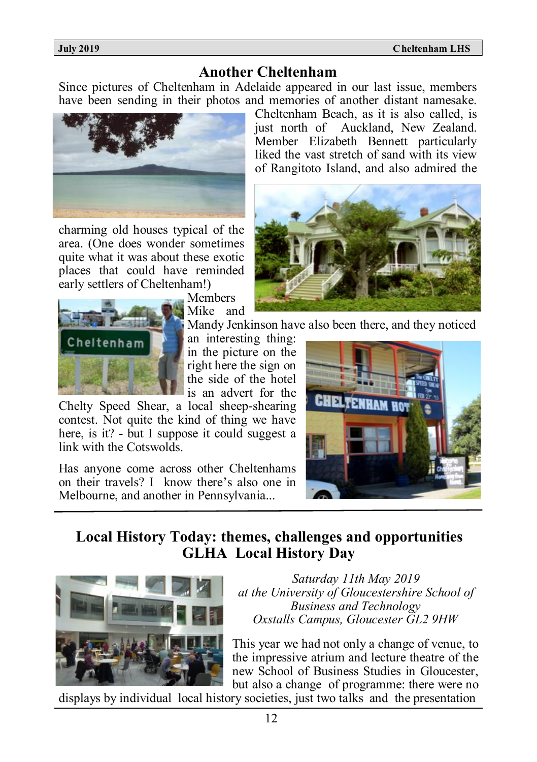**July 2019 Cheltenham LHS**

#### **Another Cheltenham**

Since pictures of Cheltenham in Adelaide appeared in our last issue, members have been sending in their photos and memories of another distant namesake.



charming old houses typical of the area. (One does wonder sometimes quite what it was about these exotic places that could have reminded early settlers of Cheltenham!)



Members Mike and

Mandy Jenkinson have also been there, and they noticed

an interesting thing: in the picture on the right here the sign on the side of the hotel is an advert for the

Chelty Speed Shear, a local sheep-shearing contest. Not quite the kind of thing we have here, is it? - but I suppose it could suggest a link with the Cotswolds.

Has anyone come across other Cheltenhams on their travels? I know there's also one in Melbourne, and another in Pennsylvania...



### **Local History Today: themes, challenges and opportunities GLHA Local History Day**



*Saturday 11th May 2019 at the University of Gloucestershire School of Business and Technology Oxstalls Campus, Gloucester GL2 9HW*

This year we had not only a change of venue, to the impressive atrium and lecture theatre of the new School of Business Studies in Gloucester, but also a change of programme: there were no

displays by individual local history societies, just two talks and the presentation

Cheltenham Beach, as it is also called, is just north of Auckland, New Zealand. Member Elizabeth Bennett particularly liked the vast stretch of sand with its view of Rangitoto Island, and also admired the

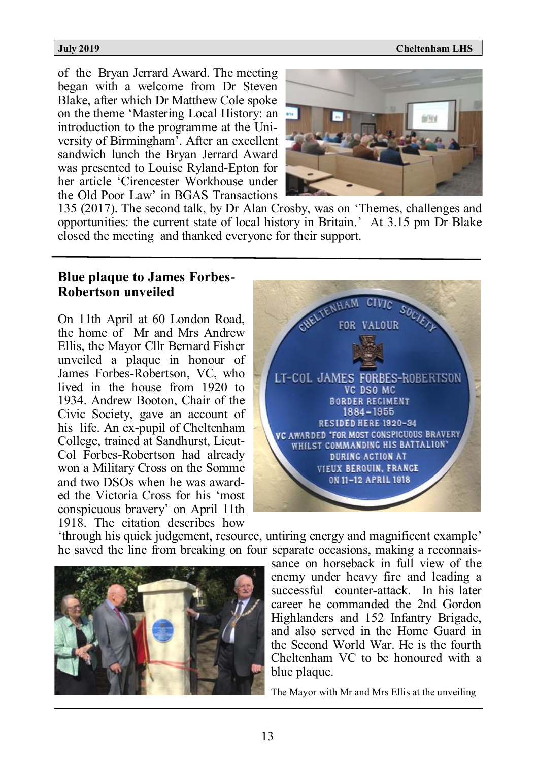$\overline{a}$ 

#### **July 2019 Cheltenham LHS**

of the Bryan Jerrard Award. The meeting began with a welcome from Dr Steven Blake, after which Dr Matthew Cole spoke on the theme 'Mastering Local History: an introduction to the programme at the University of Birmingham'. After an excellent sandwich lunch the Bryan Jerrard Award was presented to Louise Ryland-Epton for her article 'Cirencester Workhouse under the Old Poor Law' in BGAS Transactions



135 (2017). The second talk, by Dr Alan Crosby, was on 'Themes, challenges and opportunities: the current state of local history in Britain.' At 3.15 pm Dr Blake closed the meeting and thanked everyone for their support.

### **Blue plaque to James Forbes-Robertson unveiled**

On 11th April at 60 London Road, the home of Mr and Mrs Andrew Ellis, the Mayor Cllr Bernard Fisher unveiled a plaque in honour of James Forbes-Robertson, VC, who lived in the house from 1920 to 1934. Andrew Booton, Chair of the Civic Society, gave an account of his life. An ex-pupil of Cheltenham College, trained at Sandhurst, Lieut-Col Forbes-Robertson had already won a Military Cross on the Somme and two DSOs when he was awarded the Victoria Cross for his 'most conspicuous bravery' on April 11th 1918. The citation describes how



'through his quick judgement, resource, untiring energy and magnificent example' he saved the line from breaking on four separate occasions, making a reconnais-



sance on horseback in full view of the enemy under heavy fire and leading a successful counter-attack. In his later career he commanded the 2nd Gordon Highlanders and 152 Infantry Brigade, and also served in the Home Guard in the Second World War. He is the fourth Cheltenham VC to be honoured with a blue plaque.

The Mayor with Mr and Mrs Ellis at the unveiling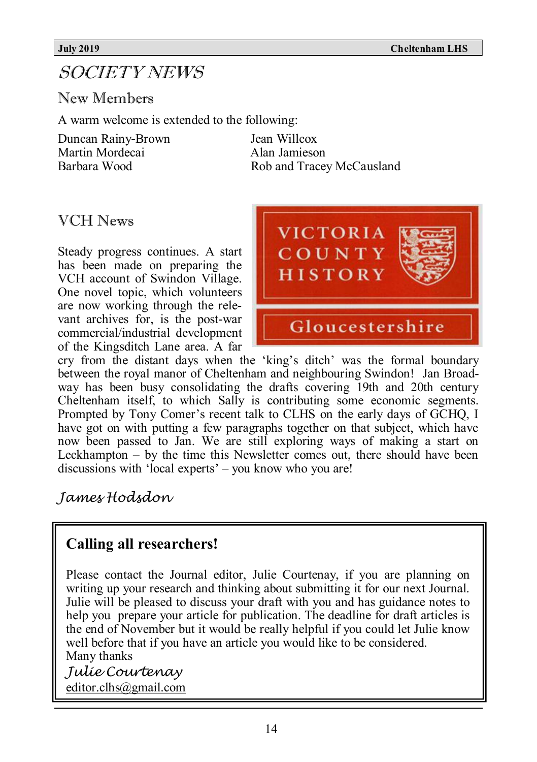# SOCIETY NEWS

New Members

A warm welcome is extended to the following:

Duncan Rainy-Brown Jean Willcox<br>Martin Mordecai ann Alan Jamieson Martin Mordecai<br>Barbara Wood

Rob and Tracey McCausland

# VCH News

Steady progress continues. A start has been made on preparing the VCH account of Swindon Village. One novel topic, which volunteers are now working through the relevant archives for, is the post-war commercial/industrial development of the Kingsditch Lane area. A far



cry from the distant days when the 'king's ditch' was the formal boundary between the royal manor of Cheltenham and neighbouring Swindon! Jan Broadway has been busy consolidating the drafts covering 19th and 20th century Cheltenham itself, to which Sally is contributing some economic segments. Prompted by Tony Comer's recent talk to CLHS on the early days of GCHQ, I have got on with putting a few paragraphs together on that subject, which have now been passed to Jan. We are still exploring ways of making a start on Leckhampton – by the time this Newsletter comes out, there should have been discussions with 'local experts' – you know who you are!

*James Hodsdon*

# **Calling all researchers!**

Please contact the Journal editor, Julie Courtenay, if you are planning on writing up your research and thinking about submitting it for our next Journal. Julie will be pleased to discuss your draft with you and has guidance notes to help you prepare your article for publication. The deadline for draft articles is the end of November but it would be really helpful if you could let Julie know well before that if you have an article you would like to be considered. Many thanks

*Julie Courtenay* [editor.clhs@gmail.com](mailto:editor.clhs@gmail.com)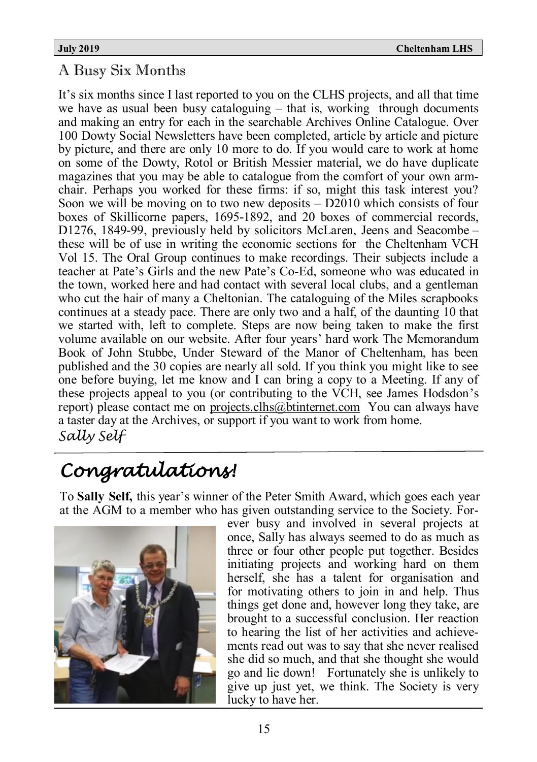# A Busy Six Months

It's six months since I last reported to you on the CLHS projects, and all that time we have as usual been busy cataloguing – that is, working through documents and making an entry for each in the searchable Archives Online Catalogue. Over 100 Dowty Social Newsletters have been completed, article by article and picture by picture, and there are only 10 more to do. If you would care to work at home on some of the Dowty, Rotol or British Messier material, we do have duplicate magazines that you may be able to catalogue from the comfort of your own armchair. Perhaps you worked for these firms: if so, might this task interest you? Soon we will be moving on to two new deposits – D2010 which consists of four boxes of Skillicorne papers, 1695-1892, and 20 boxes of commercial records, D1276, 1849-99, previously held by solicitors McLaren, Jeens and Seacombe – these will be of use in writing the economic sections for the Cheltenham VCH Vol 15. The Oral Group continues to make recordings. Their subjects include a teacher at Pate's Girls and the new Pate's Co-Ed, someone who was educated in the town, worked here and had contact with several local clubs, and a gentleman who cut the hair of many a Cheltonian. The cataloguing of the Miles scrapbooks continues at a steady pace. There are only two and a half, of the daunting 10 that we started with, left to complete. Steps are now being taken to make the first volume available on our website. After four years' hard work The Memorandum Book of John Stubbe, Under Steward of the Manor of Cheltenham, has been published and the 30 copies are nearly all sold. If you think you might like to see one before buying, let me know and I can bring a copy to a Meeting. If any of these projects appeal to you (or contributing to the VCH, see James Hodsdon's report) please contact me on [projects.clhs@btinternet.com](mailto:projects.clhs@btinternet.com) You can always have a taster day at the Archives, or support if you want to work from home. *Sally Self*

# *Congratulations!*

To **Sally Self,** this year's winner of the Peter Smith Award, which goes each year at the AGM to a member who has given outstanding service to the Society. For-



ever busy and involved in several projects at once, Sally has always seemed to do as much as three or four other people put together. Besides initiating projects and working hard on them herself, she has a talent for organisation and for motivating others to join in and help. Thus things get done and, however long they take, are brought to a successful conclusion. Her reaction to hearing the list of her activities and achievements read out was to say that she never realised she did so much, and that she thought she would go and lie down! Fortunately she is unlikely to give up just yet, we think. The Society is very lucky to have her.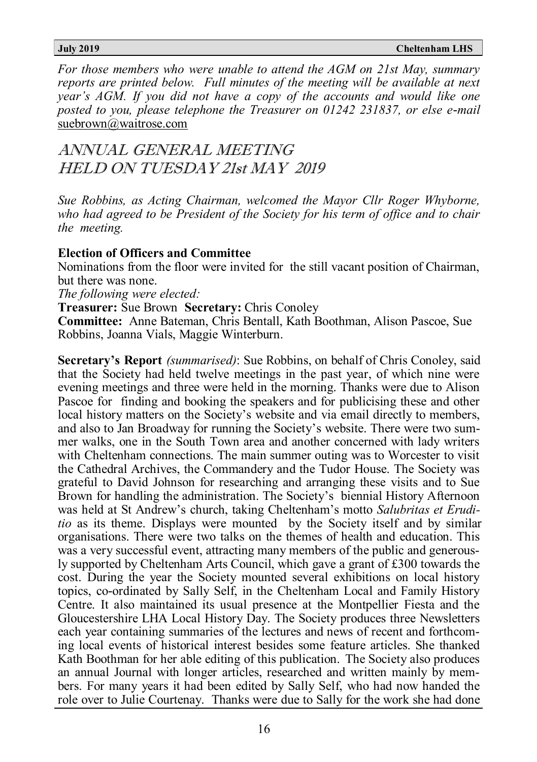*For those members who were unable to attend the AGM on 21st May, summary reports are printed below. Full minutes of the meeting will be available at next year's AGM. If you did not have a copy of the accounts and would like one posted to you, please telephone the Treasurer on 01242 231837, or else e-mail*  suebrown@waitrose.com

ANNUAL GENERAL MEETING HELD ON TUESDAY 21st MAY 2019

*Sue Robbins, as Acting Chairman, welcomed the Mayor Cllr Roger Whyborne, who had agreed to be President of the Society for his term of office and to chair the meeting.*

#### **Election of Officers and Committee**

Nominations from the floor were invited for the still vacant position of Chairman, but there was none.

*The following were elected:*

**Treasurer:** Sue Brown **Secretary:** Chris Conoley

**Committee:** Anne Bateman, Chris Bentall, Kath Boothman, Alison Pascoe, Sue Robbins, Joanna Vials, Maggie Winterburn.

**Secretary's Report** *(summarised)*: Sue Robbins, on behalf of Chris Conoley, said that the Society had held twelve meetings in the past year, of which nine were evening meetings and three were held in the morning. Thanks were due to Alison Pascoe for finding and booking the speakers and for publicising these and other local history matters on the Society's website and via email directly to members, and also to Jan Broadway for running the Society's website. There were two summer walks, one in the South Town area and another concerned with lady writers with Cheltenham connections. The main summer outing was to Worcester to visit the Cathedral Archives, the Commandery and the Tudor House. The Society was grateful to David Johnson for researching and arranging these visits and to Sue Brown for handling the administration. The Society's biennial History Afternoon was held at St Andrew's church, taking Cheltenham's motto *Salubritas et Eruditio* as its theme. Displays were mounted by the Society itself and by similar organisations. There were two talks on the themes of health and education. This was a very successful event, attracting many members of the public and generously supported by Cheltenham Arts Council, which gave a grant of £300 towards the cost. During the year the Society mounted several exhibitions on local history topics, co-ordinated by Sally Self, in the Cheltenham Local and Family History Centre. It also maintained its usual presence at the Montpellier Fiesta and the Gloucestershire LHA Local History Day. The Society produces three Newsletters each year containing summaries of the lectures and news of recent and forthcoming local events of historical interest besides some feature articles. She thanked Kath Boothman for her able editing of this publication. The Society also produces an annual Journal with longer articles, researched and written mainly by members. For many years it had been edited by Sally Self, who had now handed the role over to Julie Courtenay. Thanks were due to Sally for the work she had done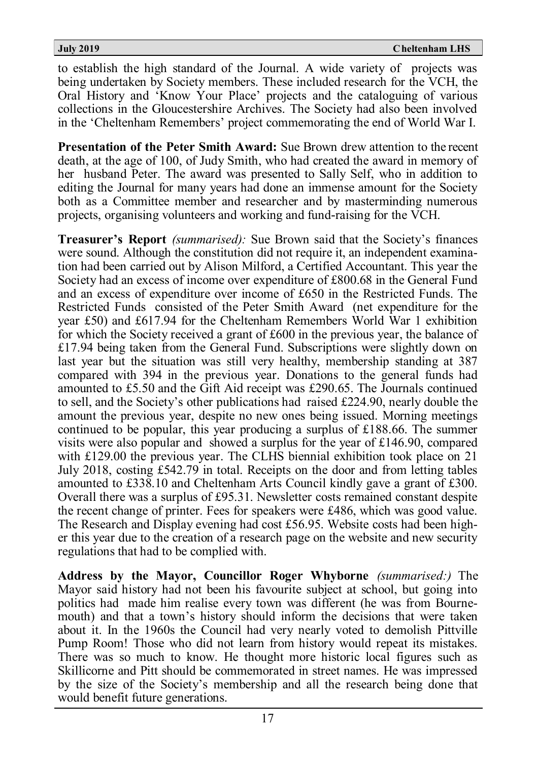to establish the high standard of the Journal. A wide variety of projects was being undertaken by Society members. These included research for the VCH, the Oral History and 'Know Your Place' projects and the cataloguing of various collections in the Gloucestershire Archives. The Society had also been involved in the 'Cheltenham Remembers' project commemorating the end of World War I.

**Presentation of the Peter Smith Award:** Sue Brown drew attention to the recent death, at the age of 100, of Judy Smith, who had created the award in memory of her husband Peter. The award was presented to Sally Self, who in addition to editing the Journal for many years had done an immense amount for the Society both as a Committee member and researcher and by masterminding numerous projects, organising volunteers and working and fund-raising for the VCH.

**Treasurer's Report** *(summarised):* Sue Brown said that the Society's finances were sound. Although the constitution did not require it, an independent examination had been carried out by Alison Milford, a Certified Accountant. This year the Society had an excess of income over expenditure of £800.68 in the General Fund and an excess of expenditure over income of £650 in the Restricted Funds. The Restricted Funds consisted of the Peter Smith Award (net expenditure for the year £50) and £617.94 for the Cheltenham Remembers World War 1 exhibition for which the Society received a grant of £600 in the previous year, the balance of £17.94 being taken from the General Fund. Subscriptions were slightly down on last year but the situation was still very healthy, membership standing at 387 compared with 394 in the previous year. Donations to the general funds had amounted to £5.50 and the Gift Aid receipt was £290.65. The Journals continued to sell, and the Society's other publications had raised £224.90, nearly double the amount the previous year, despite no new ones being issued. Morning meetings continued to be popular, this year producing a surplus of £188.66. The summer visits were also popular and showed a surplus for the year of £146.90, compared with £129.00 the previous year. The CLHS biennial exhibition took place on 21 July 2018, costing £542.79 in total. Receipts on the door and from letting tables amounted to £338.10 and Cheltenham Arts Council kindly gave a grant of £300. Overall there was a surplus of £95.31. Newsletter costs remained constant despite the recent change of printer. Fees for speakers were £486, which was good value. The Research and Display evening had cost £56.95. Website costs had been higher this year due to the creation of a research page on the website and new security regulations that had to be complied with.

**Address by the Mayor, Councillor Roger Whyborne** *(summarised:)* The Mayor said history had not been his favourite subject at school, but going into politics had made him realise every town was different (he was from Bournemouth) and that a town's history should inform the decisions that were taken about it. In the 1960s the Council had very nearly voted to demolish Pittville Pump Room! Those who did not learn from history would repeat its mistakes. There was so much to know. He thought more historic local figures such as Skillicorne and Pitt should be commemorated in street names. He was impressed by the size of the Society's membership and all the research being done that would benefit future generations.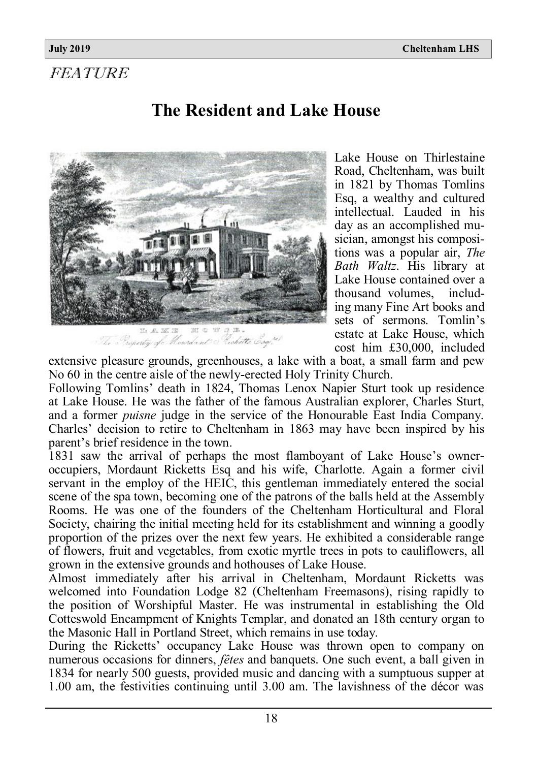# FEATURE

# **The Resident and Lake House**



Lake House on Thirlestaine Road, Cheltenham, was built in 1821 by Thomas Tomlins Esq, a wealthy and cultured intellectual. Lauded in his day as an accomplished musician, amongst his compositions was a popular air, *The Bath Waltz*. His library at Lake House contained over a thousand volumes, including many Fine Art books and sets of sermons. Tomlin's estate at Lake House, which cost him £30,000, included

extensive pleasure grounds, greenhouses, a lake with a boat, a small farm and pew No 60 in the centre aisle of the newly-erected Holy Trinity Church.

Following Tomlins' death in 1824, Thomas Lenox Napier Sturt took up residence at Lake House. He was the father of the famous Australian explorer, Charles Sturt, and a former *puisne* judge in the service of the Honourable East India Company. Charles' decision to retire to Cheltenham in 1863 may have been inspired by his parent's brief residence in the town.

1831 saw the arrival of perhaps the most flamboyant of Lake House's owneroccupiers, Mordaunt Ricketts Esq and his wife, Charlotte. Again a former civil servant in the employ of the HEIC, this gentleman immediately entered the social scene of the spa town, becoming one of the patrons of the balls held at the Assembly Rooms. He was one of the founders of the Cheltenham Horticultural and Floral Society, chairing the initial meeting held for its establishment and winning a goodly proportion of the prizes over the next few years. He exhibited a considerable range of flowers, fruit and vegetables, from exotic myrtle trees in pots to cauliflowers, all grown in the extensive grounds and hothouses of Lake House.

Almost immediately after his arrival in Cheltenham, Mordaunt Ricketts was welcomed into Foundation Lodge 82 (Cheltenham Freemasons), rising rapidly to the position of Worshipful Master. He was instrumental in establishing the Old Cotteswold Encampment of Knights Templar, and donated an 18th century organ to the Masonic Hall in Portland Street, which remains in use today.

During the Ricketts' occupancy Lake House was thrown open to company on numerous occasions for dinners, *fêtes* and banquets. One such event, a ball given in 1834 for nearly 500 guests, provided music and dancing with a sumptuous supper at 1.00 am, the festivities continuing until 3.00 am. The lavishness of the décor was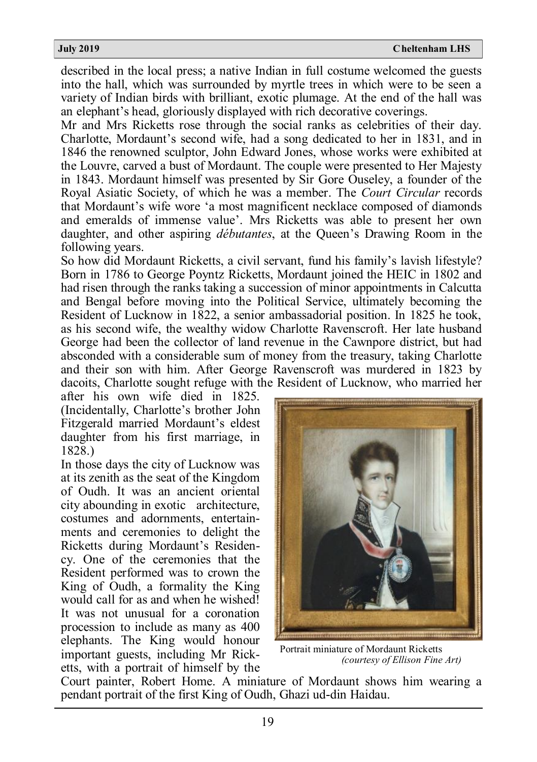described in the local press; a native Indian in full costume welcomed the guests into the hall, which was surrounded by myrtle trees in which were to be seen a variety of Indian birds with brilliant, exotic plumage. At the end of the hall was an elephant's head, gloriously displayed with rich decorative coverings.

Mr and Mrs Ricketts rose through the social ranks as celebrities of their day. Charlotte, Mordaunt's second wife, had a song dedicated to her in 1831, and in 1846 the renowned sculptor, John Edward Jones, whose works were exhibited at the Louvre, carved a bust of Mordaunt. The couple were presented to Her Majesty in 1843. Mordaunt himself was presented by Sir Gore Ouseley, a founder of the Royal Asiatic Society, of which he was a member. The *Court Circular* records that Mordaunt's wife wore 'a most magnificent necklace composed of diamonds and emeralds of immense value'. Mrs Ricketts was able to present her own daughter, and other aspiring *débutantes*, at the Queen's Drawing Room in the following years.

So how did Mordaunt Ricketts, a civil servant, fund his family's lavish lifestyle? Born in 1786 to George Poyntz Ricketts, Mordaunt joined the HEIC in 1802 and had risen through the ranks taking a succession of minor appointments in Calcutta and Bengal before moving into the Political Service, ultimately becoming the Resident of Lucknow in 1822, a senior ambassadorial position. In 1825 he took, as his second wife, the wealthy widow Charlotte Ravenscroft. Her late husband George had been the collector of land revenue in the Cawnpore district, but had absconded with a considerable sum of money from the treasury, taking Charlotte and their son with him. After George Ravenscroft was murdered in 1823 by dacoits, Charlotte sought refuge with the Resident of Lucknow, who married her

after his own wife died in 1825. (Incidentally, Charlotte's brother John Fitzgerald married Mordaunt's eldest daughter from his first marriage, in 1828.)

In those days the city of Lucknow was at its zenith as the seat of the Kingdom of Oudh. It was an ancient oriental city abounding in exotic architecture, costumes and adornments, entertainments and ceremonies to delight the Ricketts during Mordaunt's Residency. One of the ceremonies that the Resident performed was to crown the King of Oudh, a formality the King would call for as and when he wished! It was not unusual for a coronation procession to include as many as 400 elephants. The King would honour important guests, including Mr Ricketts, with a portrait of himself by the



 Portrait miniature of Mordaunt Ricketts  *(courtesy of Ellison Fine Art)*

Court painter, Robert Home. A miniature of Mordaunt shows him wearing a pendant portrait of the first King of Oudh, Ghazi ud-din Haidau.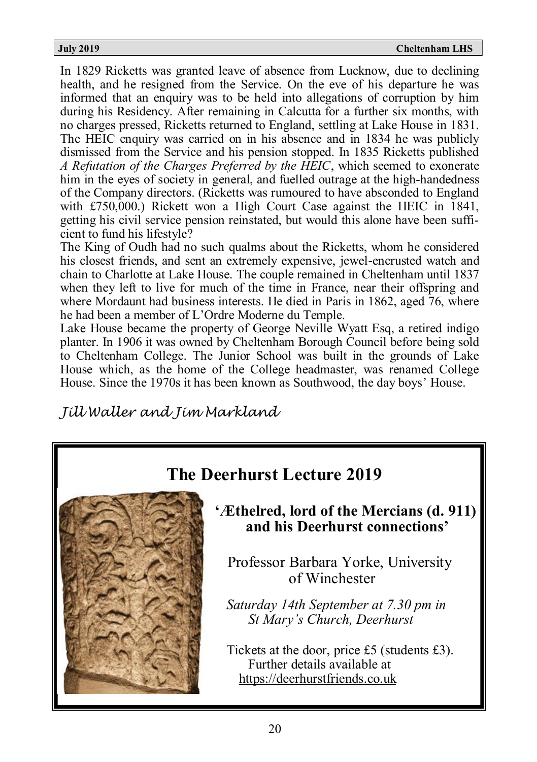In 1829 Ricketts was granted leave of absence from Lucknow, due to declining health, and he resigned from the Service. On the eve of his departure he was informed that an enquiry was to be held into allegations of corruption by him during his Residency. After remaining in Calcutta for a further six months, with no charges pressed, Ricketts returned to England, settling at Lake House in 1831. The HEIC enquiry was carried on in his absence and in 1834 he was publicly dismissed from the Service and his pension stopped. In 1835 Ricketts published *A Refutation of the Charges Preferred by the HEIC*, which seemed to exonerate him in the eyes of society in general, and fuelled outrage at the high-handedness of the Company directors. (Ricketts was rumoured to have absconded to England with £750,000.) Rickett won a High Court Case against the HEIC in  $\overline{1841}$ , getting his civil service pension reinstated, but would this alone have been sufficient to fund his lifestyle?

The King of Oudh had no such qualms about the Ricketts, whom he considered his closest friends, and sent an extremely expensive, jewel-encrusted watch and chain to Charlotte at Lake House. The couple remained in Cheltenham until 1837 when they left to live for much of the time in France, near their offspring and where Mordaunt had business interests. He died in Paris in 1862, aged 76, where he had been a member of L'Ordre Moderne du Temple.

Lake House became the property of George Neville Wyatt Esq, a retired indigo planter. In 1906 it was owned by Cheltenham Borough Council before being sold to Cheltenham College. The Junior School was built in the grounds of Lake House which, as the home of the College headmaster, was renamed College House. Since the 1970s it has been known as Southwood, the day boys' House.

*Jill Waller and Jim Markland*

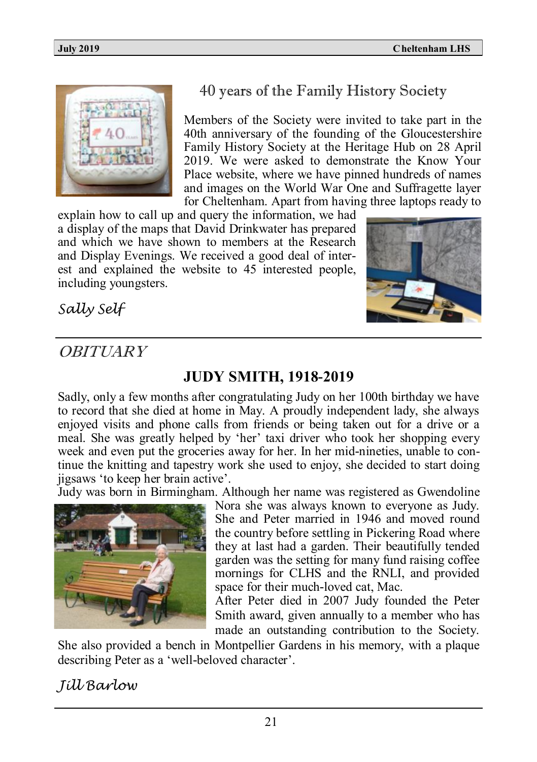

# 40 years of the Family History Society

Members of the Society were invited to take part in the 40th anniversary of the founding of the Gloucestershire Family History Society at the Heritage Hub on 28 April 2019. We were asked to demonstrate the Know Your Place website, where we have pinned hundreds of names and images on the World War One and Suffragette layer for Cheltenham. Apart from having three laptops ready to

explain how to call up and query the information, we had a display of the maps that David Drinkwater has prepared and which we have shown to members at the Research and Display Evenings. We received a good deal of interest and explained the website to 45 interested people, including youngsters.



*Sally Self*

# **OBITUARY**

# **JUDY SMITH, 1918-2019**

Sadly, only a few months after congratulating Judy on her 100th birthday we have to record that she died at home in May. A proudly independent lady, she always enjoyed visits and phone calls from friends or being taken out for a drive or a meal. She was greatly helped by 'her' taxi driver who took her shopping every week and even put the groceries away for her. In her mid-nineties, unable to continue the knitting and tapestry work she used to enjoy, she decided to start doing jigsaws 'to keep her brain active'.

Judy was born in Birmingham. Although her name was registered as Gwendoline



Nora she was always known to everyone as Judy. She and Peter married in 1946 and moved round the country before settling in Pickering Road where they at last had a garden. Their beautifully tended garden was the setting for many fund raising coffee mornings for CLHS and the RNLI, and provided space for their much-loved cat, Mac.

After Peter died in 2007 Judy founded the Peter Smith award, given annually to a member who has made an outstanding contribution to the Society.

She also provided a bench in Montpellier Gardens in his memory, with a plaque describing Peter as a 'well-beloved character'.

# *Jill Barlow*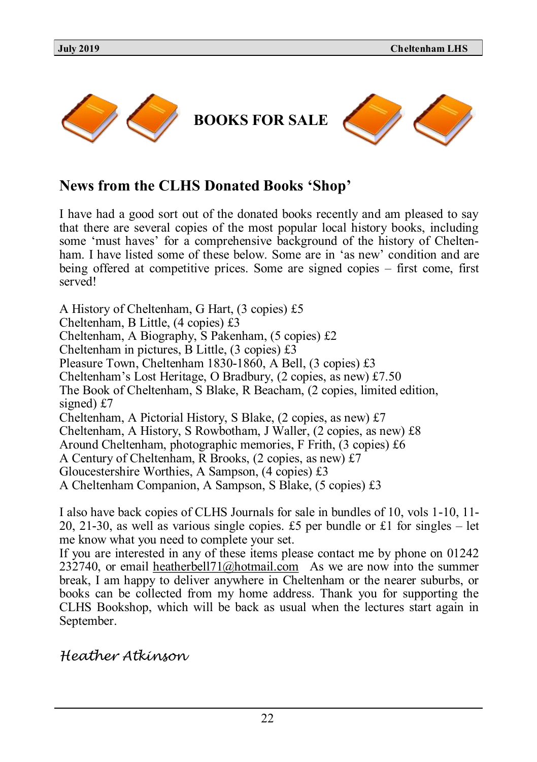

# **News from the CLHS Donated Books 'Shop'**

I have had a good sort out of the donated books recently and am pleased to say that there are several copies of the most popular local history books, including some 'must haves' for a comprehensive background of the history of Cheltenham. I have listed some of these below. Some are in 'as new' condition and are being offered at competitive prices. Some are signed copies – first come, first served!

A History of Cheltenham, G Hart, (3 copies) £5 Cheltenham, B Little, (4 copies) £3 Cheltenham, A Biography, S Pakenham, (5 copies) £2 Cheltenham in pictures, B Little, (3 copies) £3 Pleasure Town, Cheltenham 1830-1860, A Bell, (3 copies) £3 Cheltenham's Lost Heritage, O Bradbury, (2 copies, as new) £7.50 The Book of Cheltenham, S Blake, R Beacham, (2 copies, limited edition, signed) £7 Cheltenham, A Pictorial History, S Blake, (2 copies, as new) £7 Cheltenham, A History, S Rowbotham, J Waller, (2 copies, as new) £8 Around Cheltenham, photographic memories, F Frith, (3 copies) £6 A Century of Cheltenham, R Brooks, (2 copies, as new) £7 Gloucestershire Worthies, A Sampson, (4 copies) £3 A Cheltenham Companion, A Sampson, S Blake, (5 copies) £3

I also have back copies of CLHS Journals for sale in bundles of 10, vols 1-10, 11- 20, 21-30, as well as various single copies. £5 per bundle or £1 for singles – let me know what you need to complete your set.

If you are interested in any of these items please contact me by phone on 01242 232740, or email [heatherbell71@hotmail.com](mailto:heatherbell71@hotmail.com)As we are now into the summer break, I am happy to deliver anywhere in Cheltenham or the nearer suburbs, or books can be collected from my home address. Thank you for supporting the CLHS Bookshop, which will be back as usual when the lectures start again in September.

*Heather Atkinson*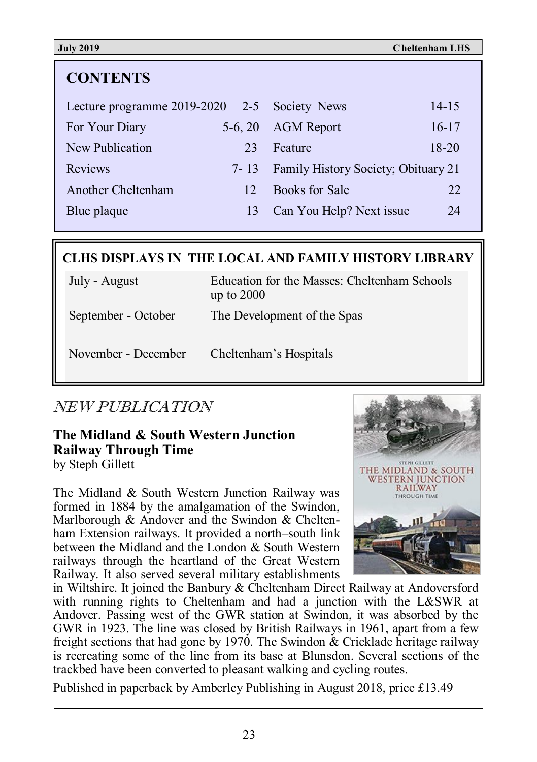| <b>CONTENTS</b>                              |           |                                            |           |
|----------------------------------------------|-----------|--------------------------------------------|-----------|
| Lecture programme 2019-2020 2-5 Society News |           |                                            | $14 - 15$ |
| For Your Diary                               | $5-6, 20$ | <b>AGM</b> Report                          | $16 - 17$ |
| New Publication                              | 23        | Feature                                    | $18 - 20$ |
| <b>Reviews</b>                               | 7-13      | <b>Family History Society; Obituary 21</b> |           |
| Another Cheltenham                           | 12        | Books for Sale                             | 22        |
| Blue plaque                                  | 13        | Can You Help? Next issue                   | 24        |
|                                              |           |                                            |           |

### **CLHS DISPLAYS IN THE LOCAL AND FAMILY HISTORY LIBRARY**

| July - August       | Education for the Masses: Cheltenham Schools<br>up to $2000$ |
|---------------------|--------------------------------------------------------------|
| September - October | The Development of the Spas                                  |
| November - December | Cheltenham's Hospitals                                       |

# NEW PUBLICATION

#### **The Midland & South Western Junction Railway Through Time** by Steph Gillett

The Midland & South Western Junction Railway was formed in 1884 by the amalgamation of the Swindon, Marlborough & Andover and the Swindon & Cheltenham Extension railways. It provided a north–south link between the Midland and the London & South Western railways through the heartland of the Great Western Railway. It also served several military establishments



in Wiltshire. It joined the Banbury & Cheltenham Direct Railway at Andoversford with running rights to Cheltenham and had a junction with the L&SWR at Andover. Passing west of the GWR station at Swindon, it was absorbed by the GWR in 1923. The line was closed by British Railways in 1961, apart from a few freight sections that had gone by 1970. The Swindon & Cricklade heritage railway is recreating some of the line from its base at Blunsdon. Several sections of the trackbed have been converted to pleasant walking and cycling routes.

Published in paperback by Amberley Publishing in August 2018, price £13.49